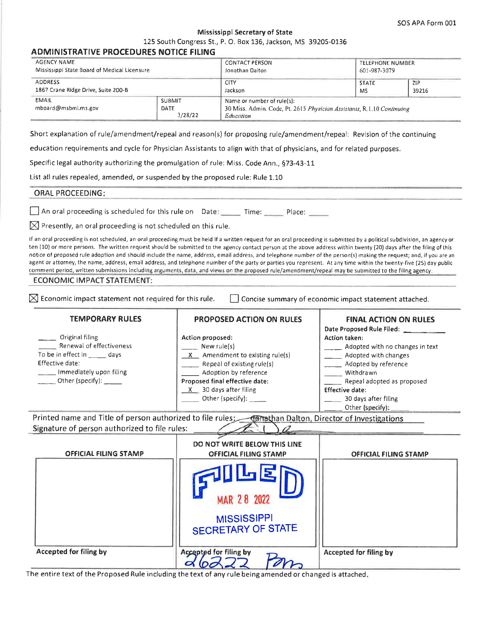# **Mississippi Secretary of State**

125 South Congress St., P. O. Box 136, Jackson, MS 39205-0136

### **ADMINISTRATIVE PROCEDURES NOTICE FILING**

| AGENCY NAME                                  |                                  | <b>CONTACT PERSON</b>                                                                                             | <b>TELEPHONE NUMBER</b> |       |
|----------------------------------------------|----------------------------------|-------------------------------------------------------------------------------------------------------------------|-------------------------|-------|
| Mississippi State Board of Medical Licensure |                                  | Jonathan Dalton                                                                                                   | 601-987-3079            |       |
| ADDRESS                                      |                                  | <b>CITY</b>                                                                                                       | <b>STATE</b>            | ZIP   |
| 1867 Crane Ridge Drive, Suite 200-B          |                                  | Jackson                                                                                                           | <b>MS</b>               | 39216 |
| <b>EMAIL</b><br>mboard@msbml.ms.gov          | <b>SUBMIT</b><br>DATE<br>3/28/22 | Name or number of rule(s):<br>30 Miss. Admin. Code, Pt. 2615 Physician Assistants, R.1.10 Continuing<br>Education |                         |       |

Short explanation of rule/amendment/repeal and reason(s) for proposing rule/amendment/repeal: Revision of the continuing

education requirements and cycle for Physician Assistants to align with that of physicians, and for related purposes.

Specific legal authority authorizing the promulgation of rule: Miss. Code Ann., §73-43-11

List all rules repealed, amended, or suspended by the proposed rule: Rule 1.10

#### **ORAL PROCEEDING:**

An oral proceeding is scheduled for this rule on Date: \_\_\_\_\_\_ Time: \_\_\_\_\_ Place: \_\_\_\_\_

 $\boxtimes$  Presently, an oral proceeding is not scheduled on this rule.

If an oral proceeding is not scheduled, an oral proceeding must be held if a written request for an oral proceeding is submitted by a political subdivision, an agency or ten (10) or more persons. The written request should be submitted to the agency contact person at the above address within twenty (20) days after the filing of this notice of proposed rule adoption and should include the name, address, email address, and telephone number of the person(s) making the request; and, if you are an agent or attorney, the name, address, email address, and telephone number of the party or parties you represent. At any time within the twenty-five (25) day public comment period, written submissions including arguments, data, and views on the proposed rule/amendment/repeal may be submitted to the filing agency.

#### **ECONOMIC IMPACT STATEMENT:**

 $\boxtimes$  Economic impact statement not required for this rule.

Concise summary of economic impact statement attached.

т

| <b>TEMPORARY RULES</b>                                                                                                                                           | <b>PROPOSED ACTION ON RULES</b>                                                                                                                                                                                                                                                                                                                                                                                              | <b>FINAL ACTION ON RULES</b>       |
|------------------------------------------------------------------------------------------------------------------------------------------------------------------|------------------------------------------------------------------------------------------------------------------------------------------------------------------------------------------------------------------------------------------------------------------------------------------------------------------------------------------------------------------------------------------------------------------------------|------------------------------------|
|                                                                                                                                                                  |                                                                                                                                                                                                                                                                                                                                                                                                                              | Date Proposed Rule Filed:          |
| Original filing                                                                                                                                                  | Action proposed:                                                                                                                                                                                                                                                                                                                                                                                                             | <b>Action taken:</b>               |
| Renewal of effectiveness                                                                                                                                         | New rule(s)                                                                                                                                                                                                                                                                                                                                                                                                                  | __ Adopted with no changes in text |
| To be in effect in ______ days                                                                                                                                   | $X$ Amendment to existing rule(s)                                                                                                                                                                                                                                                                                                                                                                                            | __ Adopted with changes            |
| Effective date:                                                                                                                                                  | Repeal of existing rule(s)                                                                                                                                                                                                                                                                                                                                                                                                   | _____ Adopted by reference         |
| ___ Immediately upon filing                                                                                                                                      | Adoption by reference                                                                                                                                                                                                                                                                                                                                                                                                        | <b>Withdrawn</b>                   |
| $\qquad \qquad$ Other (specify): _____                                                                                                                           | Proposed final effective date:                                                                                                                                                                                                                                                                                                                                                                                               | Repeal adopted as proposed         |
|                                                                                                                                                                  | $X$ 30 days after filing                                                                                                                                                                                                                                                                                                                                                                                                     | <b>Effective date:</b>             |
|                                                                                                                                                                  | $\frac{1}{\sqrt{1-\frac{1}{2}}}\cdot$ Other (specify): $\frac{1}{\sqrt{1-\frac{1}{2}}}\cdot\frac{1}{\sqrt{1-\frac{1}{2}}}\cdot\frac{1}{\sqrt{1-\frac{1}{2}}}\cdot\frac{1}{\sqrt{1-\frac{1}{2}}}\cdot\frac{1}{\sqrt{1-\frac{1}{2}}}\cdot\frac{1}{\sqrt{1-\frac{1}{2}}}\cdot\frac{1}{\sqrt{1-\frac{1}{2}}}\cdot\frac{1}{\sqrt{1-\frac{1}{2}}}\cdot\frac{1}{\sqrt{1-\frac{1}{2}}}\cdot\frac{1}{\sqrt{1-\frac{1}{2}}}\cdot\frac$ | 30 days after filing               |
|                                                                                                                                                                  |                                                                                                                                                                                                                                                                                                                                                                                                                              | Other (specify): ______            |
| Printed name and Title of person authorized to file rules: <b>Jahrsthan Dalton</b> , Director of Investigations<br>Signature of person authorized to file rules: |                                                                                                                                                                                                                                                                                                                                                                                                                              |                                    |
|                                                                                                                                                                  | DO NOT WRITE BELOW THIS LINE                                                                                                                                                                                                                                                                                                                                                                                                 |                                    |
| <b>OFFICIAL FILING STAMP</b>                                                                                                                                     |                                                                                                                                                                                                                                                                                                                                                                                                                              |                                    |
|                                                                                                                                                                  | <b>OFFICIAL FILING STAMP</b>                                                                                                                                                                                                                                                                                                                                                                                                 | <b>OFFICIAL FILING STAMP</b>       |
|                                                                                                                                                                  | MAR 28 2022<br><b>MISSISSIPPI</b><br><b>SECRETARY OF STATE</b>                                                                                                                                                                                                                                                                                                                                                               |                                    |
| <b>Accepted for filing by</b>                                                                                                                                    | <b>Accepted for filing by</b>                                                                                                                                                                                                                                                                                                                                                                                                | Accepted for filing by             |

The entire text of the Proposed Rule including the text of any rule being amended or changed is attached.